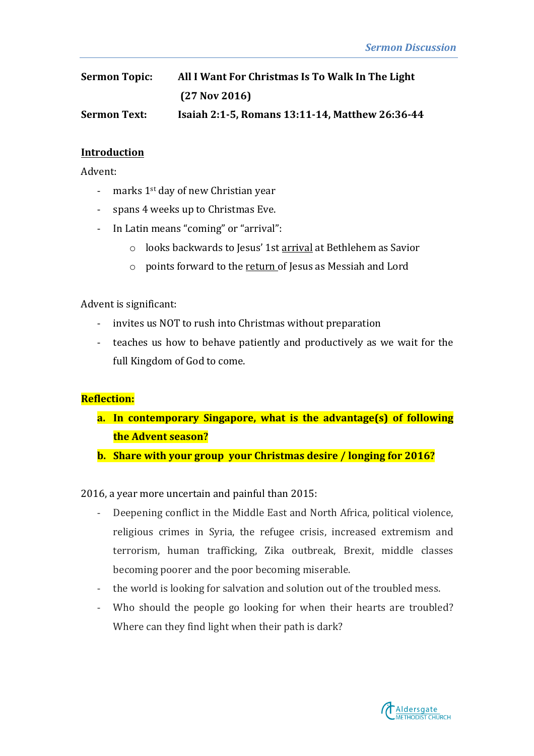| <b>Sermon Topic:</b> | All I Want For Christmas Is To Walk In The Light |
|----------------------|--------------------------------------------------|
|                      | $(27$ Nov 2016)                                  |
| <b>Sermon Text:</b>  | Isaiah 2:1-5, Romans 13:11-14, Matthew 26:36-44  |

#### **Introduction**

Advent:

- marks  $1<sup>st</sup>$  day of new Christian year
- spans 4 weeks up to Christmas Eve.
- In Latin means "coming" or "arrival":
	- o looks backwards to Jesus' 1st arrival at Bethlehem as Savior
	- $\circ$  points forward to the return of Jesus as Messiah and Lord

Advent is significant:

- invites us NOT to rush into Christmas without preparation
- teaches us how to behave patiently and productively as we wait for the full Kingdom of God to come.

#### **Reflection:**

- **a.** In contemporary Singapore, what is the advantage(s) of following **the Advent season?**
- **b.** Share with your group your Christmas desire / longing for 2016?

2016, a year more uncertain and painful than  $2015$ :

- Deepening conflict in the Middle East and North Africa, political violence, religious crimes in Syria, the refugee crisis, increased extremism and terrorism, human trafficking, Zika outbreak, Brexit, middle classes becoming poorer and the poor becoming miserable.
- the world is looking for salvation and solution out of the troubled mess.
- Who should the people go looking for when their hearts are troubled? Where can they find light when their path is dark?

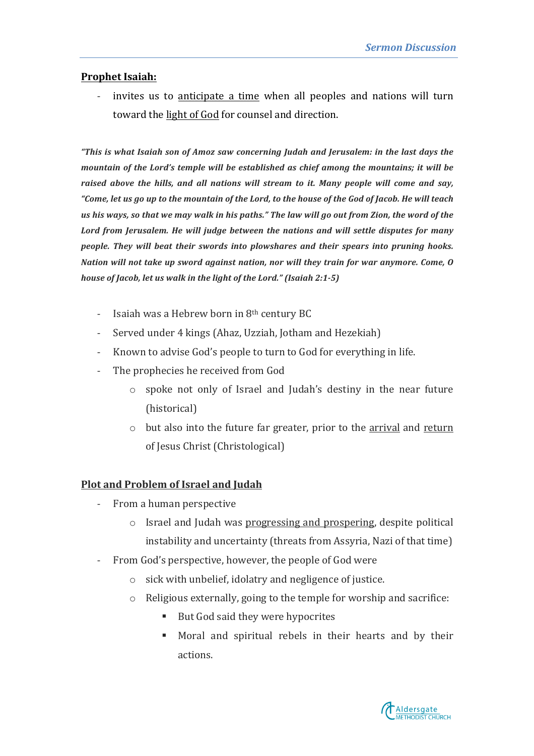# **Prophet Isaiah:**

invites us to anticipate a time when all peoples and nations will turn toward the light of God for counsel and direction.

*"This* is what Isaiah son of Amoz saw concerning Judah and Jerusalem: in the last days the *mountain* of the Lord's temple will be established as chief among the mountains; it will be raised above the hills, and all nations will stream to it. Many people will come and say, "Come, let us go up to the mountain of the Lord, to the house of the God of Jacob. He will teach us his ways, so that we may walk in his paths." The law will go out from Zion, the word of the Lord from Jerusalem. He will judge between the nations and will settle disputes for many *people. They will beat their swords into plowshares and their spears into pruning hooks. Nation will not take up sword against nation, nor will they train for war anymore. Come, 0 house of Jacob, let us walk in the light of the Lord." (Isaiah 2:1-5)* 

- Isaiah was a Hebrew born in  $8<sup>th</sup>$  century BC
- Served under 4 kings (Ahaz, Uzziah, Jotham and Hezekiah)
- Known to advise God's people to turn to God for everything in life.
- The prophecies he received from God
	- $\circ$  spoke not only of Israel and Judah's destiny in the near future (historical)
	- $\circ$  but also into the future far greater, prior to the arrival and return of Jesus Christ (Christological)

## **Plot and Problem of Israel and Judah**

- From a human perspective
	- $\circ$  Israel and Judah was progressing and prospering, despite political instability and uncertainty (threats from Assyria, Nazi of that time)
- From God's perspective, however, the people of God were
	- $\circ$  sick with unbelief, idolatry and negligence of justice.
	- $\circ$  Religious externally, going to the temple for worship and sacrifice:
		- But God said they were hypocrites
		- Moral and spiritual rebels in their hearts and by their actions.

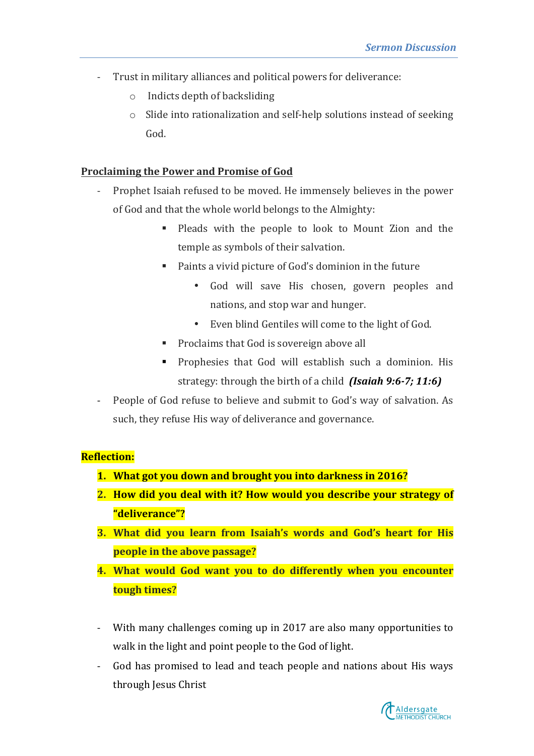- Trust in military alliances and political powers for deliverance:
	- $\circ$  Indicts depth of backsliding
	- $\circ$  Slide into rationalization and self-help solutions instead of seeking God.

## **Proclaiming the Power and Promise of God**

- Prophet Isaiah refused to be moved. He immensely believes in the power of God and that the whole world belongs to the Almighty:
	- Pleads with the people to look to Mount Zion and the temple as symbols of their salvation.
	- Paints a vivid picture of God's dominion in the future
		- God will save His chosen, govern peoples and nations, and stop war and hunger.
		- Even blind Gentiles will come to the light of God.
	- Proclaims that God is sovereign above all
	- Prophesies that God will establish such a dominion. His strategy: through the birth of a child *(Isaiah 9:6-7; 11:6)*
- People of God refuse to believe and submit to God's way of salvation. As such, they refuse His way of deliverance and governance.

# **Reflection:**

- **1.** What got you down and brought you into darkness in 2016?
- **2.** How did you deal with it? How would you describe your strategy of **"deliverance"?**
- **3.** What did you learn from Isaiah's words and God's heart for His **people in the above passage?**
- **4.** What would God want you to do differently when you encounter **tough times?**
- With many challenges coming up in 2017 are also many opportunities to walk in the light and point people to the God of light.
- God has promised to lead and teach people and nations about His ways through Jesus Christ